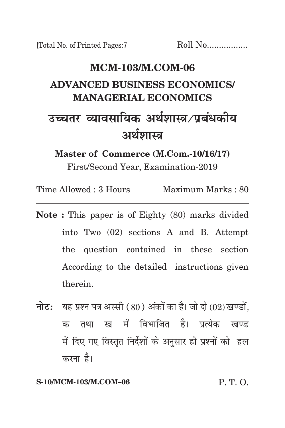# **MCM-103/m.com-06 advanced business economics/ managerial economics** उच्चतर व्यावसायिक अर्थशास्त्र /प्रबंधकीय अर्थशास्त्र

**Master of Commerce (M.Com.-10/16/17)** First/Second Year, Examination-2019

Time Allowed : 3 Hours Maximum Marks : 80

- **Note :** This paper is of Eighty (80) marks divided into Two (02) sections A and B. Attempt the question contained in these section According to the detailed instructions given therein.
- **नोट:** यह प्रश्न पत्र अस्सी (80) अंकों का है। जो दो (02) खण्डों. क तथा ख में विभाजित है। प्रत्येक खण्ड में दिए गए विस्तृत निर्देशों के अनुसार ही प्रश्नों को हल करना है।

#### **S-10/MCM-103/M.COM–06** P. T. O.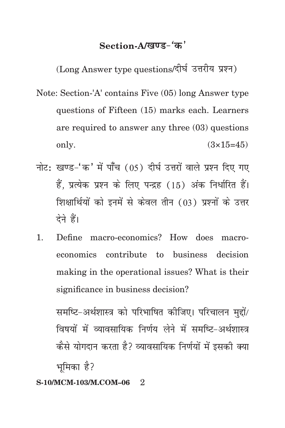## Section-A/<u>खण्ड-</u>'क'

(Long Answer type questions/दीर्घ उत्तरीय प्रश्न)

- Note: Section-'A' contains Five (05) long Answer type questions of Fifteen (15) marks each. Learners are required to answer any three (03) questions only.  $(3 \times 15=45)$
- नोट: खण्ड-'क' में पाँच (05) दीर्घ उत्तरों वाले प्रश्न दिए गए हैं, प्रत्येक प्रश्न के लिए पन्द्रह (15) अंक निर्धारित हैं। शिक्षार्थियों को इनमें से केवल तीन (03) प्रश्नों के उत्तर देने हैं।
- 1. Define macro-economics? How does macroeconomics contribute to business decision making in the operational issues? What is their significance in business decision?

समष्टि-अर्थशास्त्र को परिभाषित कीजिए। परिचालन मद्दों/ विषयों में व्यावसायिक निर्णय लेने में समष्टि-अर्थशास्त्र कैसे योगदान करता है? व्यावसायिक निर्णयों में इसकी क्या भमिका है?

#### **S-10/MCM-103/M.COM–06** 2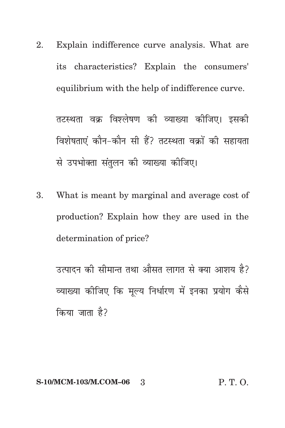2. Explain indifference curve analysis. What are its characteristics? Explain the consumers' equilibrium with the help of indifference curve.

तटस्थता वक्र विश्लेषण की व्याख्या कीजिए। इसकी विशेषताएं कौन-कौन सी हैं? तटस्थता वक्रों की सहायता से उपभोक्ता संतुलन की व्याख्या कीजिए।

3. What is meant by marginal and average cost of production? Explain how they are used in the determination of price?

उत्पादन की सीमान्त तथा औसत लागत से क्या आशय है? व्याख्या कीजिए कि मल्य निर्धारण में इनका प्रयोग कैसे किया जाता है?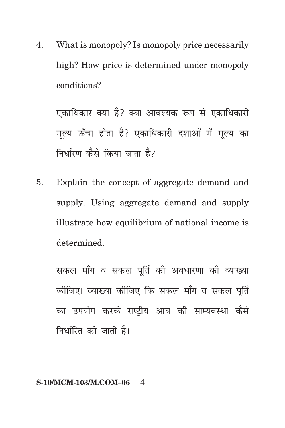4. What is monopoly? Is monopoly price necessarily high? How price is determined under monopoly conditions?

एकाधिकार क्या है? क्या आवश्यक रूप से एकाधिकारी मुल्य ऊँचा होता है? एकाधिकारी दशाओं में मुल्य का <u>निर्धारण कैसे किया जाता है</u>?

5. Explain the concept of aggregate demand and supply. Using aggregate demand and supply illustrate how equilibrium of national income is determined.

सकल माँग व सकल पूर्ति की अवधारणा की व्याख्या कोजिए। व्याख्या कोजिए कि सकल माँग व सकल पूर्ति का उपयोग करके राष्टीय आय की साम्यवस्था कैसे निर्धारित की जाती है।

#### **S-10/MCM-103/M.COM–06** 4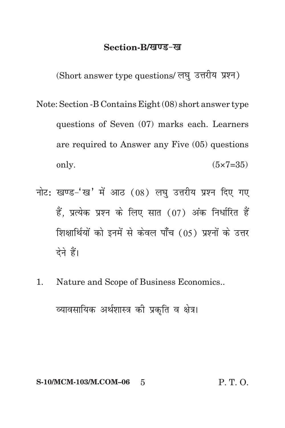### Section-B/*<u>a</u>* **us-** ख

 $(Short answer type questions / 279$  उत्तरीय प्रश्न)

- Note: Section -B Contains Eight (08) short answer type questions of Seven (07) marks each. Learners are required to Answer any Five (05) questions only.  $(5 \times 7 = 35)$
- नोट: खण्ड-'ख' में आठ (08) लघु उत्तरीय प्रश्न दिए गए हैं, प्रत्येक प्रश्न के लिए सात (07) अंक निर्धारित हैं शिक्षार्थियों को इनमें से केवल पाँच (05) प्रश्नों के उत्तर देने हैं।
- 1. Nature and Scope of Business Economics..

व्यावसायिक अर्थशास्त्र की प्रकृति व क्षेत्र।

**S-10/MCM-103/M.COM-06** 5 **P. T. O.**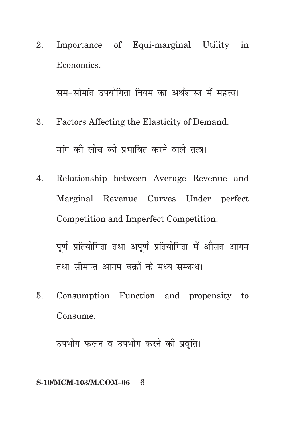Importance of Equi-marginal Utility in 2. Economics.

सम-सीमांत उपयोगिता नियम का अर्थशास्त्र में महत्त्व।

- Factors Affecting the Elasticity of Demand. 3. मांग की लोच को प्रभावित करने वाले तत्व।
- Relationship between Average Revenue and 4. Marginal Revenue Curves Under perfect Competition and Imperfect Competition.

पूर्ण प्रतियोगिता तथा अपूर्ण प्रतियोगिता में औसत आगम तथा सीमान्त आगम वक्रों के मध्य सम्बन्ध।

Consumption Function and propensity to 5. Consume.

उपभोग फलन व उपभोग करने की प्रवृति।

#### S-10/MCM-103/M.COM-06 6